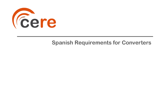

# **Spanish Requirements for Converters**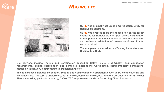

#### **Who we are**



**CERE was originally set up as a Certification Entity for Renewable Energies.**

**CERE was created to be the access key on the target countries for Renewable Energies, where certification of components, full installations certificates, modeling and software validation of renewable Power Plants, were required.**

**The company is accredited as Testing Laboratory and Certification Body.**

**Our services include Testing and Certification according Safety, EMC, Grid Quality, grid connection requirements, design certification and complete installations Certificates, complementary simulations, modelling validation, electromagnetic transient analysis.**

**This full process includes Inspection, Testing and Certification of Components such as PV modules, Wind and PV converters, trackers, transformers, string boxes, combiner boxes, etc., and the Certification for full Power Plants according particular country, DSO or TSO requirements and / or According Client Requests**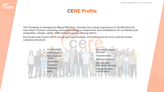# *Cere*

## **CERE Profile**

**The Company is managed by Miguel Martínez. Its team has a large experience in Certification for more than 10 years, including renewable energy's components and installations for worldwide grid integration, design, safety, EMC and grid quality, among others.**

**During the last 6 years CERE has grown exponentially, diversifying its services until the actual company structure:**



- **Electrical Vehicle Charger**
- **Transformers**
- **Medical devices**
- **Electric and Electronic devices**
- **Quality System certification**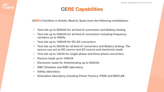# **CERE Capabilities**

**CERE's Facilities in Getafe, Madrid, Spain have the following installations:**

- **Test site up to 500kVA for all kind of converters and Battery testing**
- **Test site up to 250kVA for all kind of converters including frequency variators up to 400Hz**
- **Test site up to 100kVA for DC-AC converters**
- **Test site up to 50kVA for all kind of converters and Battery testing. The source can act as DC source and AC source and electronic loads**
- **Test site up to 10kVA for single phase and three phase converters**
- **Passive loads up to 100kVA**
- **Electronic loads for Antiislanding up to 500kVA**
- **EMC Chamber and EMC laboratory**
- **Safety laboratory**

*<u>Cere</u>* 

• **Simulation laboratory including Power Factory, PSSE and MATLAB**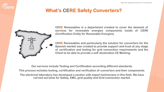

# **What's CERE Safety Converters?**



**CERE Renewables is a department created to cover the demand of services for renewable energies components inside of CERE (Certification Entity for Renewable Energies)**

**CERE Renewables and particularly the solution for converters for the Spanish market was created to provide support and trust at any stage of certification and testing for grid connection requirements and the Client to be able to provide a self declaration CE Marking.**

**Our services include Testing and Certification according different standards. This process includes testing, certification and verification of converters and their components. The electrical laboratory has developed a section with expert technicians in this field. We have carried out tests for Safety, EMC, grid quality and Grid connection market.**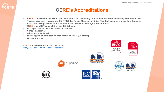#### **CERE's Accreditations**

- **CERE is accredited by ENAC and a2La (IAF/ILAC members) as Certification Body According ISO 17065 and Testing Laboratory according ISO 17025 for Power Generating Units. This fact ensures a deep knowledge in international requirements for components and Renewable Energies Power Plants.**
- **CERE is also CBTL and NCB for the IEC Scheme.**
- **MET approval for the North American market**
- **Sunspec approval**
- **SII approval for Israel**
- **RETIE approved certification body for PV inverters (Colombia)**
- **Corean Approval**

**CERE's Accreditation can be checked in:** <http://www.cerecertification.com/accreditations>









**ACCREDITED** CERTIFICATE #5314.03







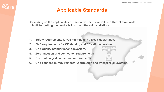**Depending on the applicability of the converter, there will be different standards to fulfill for getting the products into the different installations.**

- **1. Safety requirements for CE Marking and CE self declaration.**
- **2. EMC requirements for CE Marking and CE self declaration.**
- **3. Grid Quality Standards for converters.**

*<u>Cere</u>* 

- **4. Zero-Injection grid connection requirements.**
- **5. Distribution grid connection requirements**
- **6. Grid connection requirements (Distribution and transmission systems)**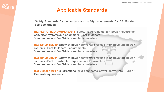*<u>Cere</u>* 

- **1. Safety Standards for converters and safety requirements for CE Marking self declaration:**
- **- IEC 62477-1:2012+AMD1:2016 Safety requirements for power electronic converter systems and equipment - Part 1: General. Standanlone and / or Grid connected converters**
- **- IEC 62109-1:2010 Safety of power converters for use in photovoltaic power systems - Part 1: General requirements Standanlone and / or Grid connected converters**
- **- IEC 62109-2:2011 Safety of power converters for use in photovoltaic power systems - Part 2: Particular requirements for inverters Standanlone and / or Grid connected converters**
- **- IEC 62909-1:2017 Bi-directional grid connected power converters - Part 1: General requirements.**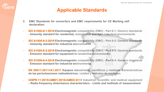**2. EMC Standards for converters and EMC requirements for CE Marking self declaration:**

**Eere** 

- **- IEC 61000-6-1:2016 Electromagnetic compatibility (EMC) - Part 6-1: Generic standards - Immunity standard for residential, commercial and light-industrial environments**
- **- IEC 61000-6-2:2016 Electromagnetic compatibility (EMC) - Part 6-2: Generic standards - Immunity standard for industrial environments.**
- **- IEC 61000-6-2:2016 Electromagnetic compatibility (EMC) - Part 6-3: Generic standards - Emission standard for equipment in residential environments**
- **- IEC 61000-6-4:2018 Electromagnetic compatibility (EMC) - Part 6-4: Generic standards - Emission standard for industrial environments.**
- **- EN 55011:2011+A1:2011 Equipos industriales, científicos y médicos. Características de las perturbaciones radioeléctricas. Límites y métodos de medición.**
- **- CISPR-11:2015+AMD1:2016+AMD2:2019 Industrial, scientific and medical equipment – Radio-frequency disturbance characteristics – Limits and methods of measurement**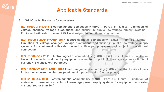**3. Grid Quality Standards for converters:**

**Eere** 

- **- IEC 61000-3-11:2017 Electromagnetic compatibility (EMC) - Part 3-11: Limits - Limitation of voltage changes, voltage fluctuations and flicker in public low-voltage supply systems - Equipment with rated current ≤ 75 A and subject to conditional connection**
- **- IEC 61000-3-3:2013+AMD1:2017 Electromagnetic compatibility (EMC) - Part 3-3: Limits - Limitation of voltage changes, voltage fluctuations and flicker in public low-voltage supply systems, for equipment with rated current ≤ 16 A per phase and not subject to conditional connection**
- **- IEC 61000-3-12:2011 Electromagnetic compatibility (EMC) - Part 3-12: Limits - Limits for harmonic currents produced by equipment connected to public low-voltage systems with input current >16 A and ≤ 75 A per phase**
- **- IEC 61000-3-2:2018+AMD1:2020 Electromagnetic compatibility (EMC) - Part 3-2: Limits - Limits for harmonic current emissions (equipment input current ≤16 A per phase)**
- **- IEC 61000-3-4:1998 Electromagnetic compatibility (EMC) - Part 3-4: Limits - Limitation of emission of harmonic currents in low-voltage power supply systems for equipment with rated current greater than 16 A**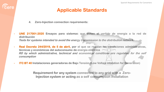**4. Zero-Injection connection requirements:**

*<u>Cere</u>* 

- **- UNE 217001:2020 Ensayos para sistemas que eviten el vertido de energía a la red de distribución Tests for systems intended to avoid the energy transmission to the distribution network.**
- **- Real Decreto 244/2019, de 5 de abril, por el que se regulan las condiciones administrativas, técnicas y económicas del autoconsumo de energía eléctrica RD by which administrative, technical and economical conditions are regulated for the self consumption**
- **- ITC BT 40 Instalaciones generadoras de Baja Tensión (Low Voltaje intalation for Generation)**

**Requirement for any system connected to any grid with a Zero-Injection system or acting as a self consumption installation**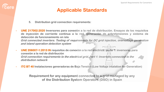**5. Distribution grid connection requirements:**

**Eere** 

- **- UNE 217002:2020 Inversores para conexión a la red de distribución. Ensayos de los requisitos de inyección de corriente continua a la red, generación de sobretensiones y sistema de detección de funcionamiento en isla Grid connected inverters. Testing of requirements for DC grid injection, overvoltage generation and island operation detection system**
- **- UNE 206007-1:2013 IN requisitos de conexión a la red eléctrica. parte 1: inversores para conexión a la red de distribución Grid connection requirements to the electrical grid. Part 1: Inverters connected to the distribution network**
- **- ITC BT 40 Instalaciones generadoras de Baja Tensión (Low Voltaje intalation for Generation)**

**Requirement for any equipment connected to a grid managed by any of the Distribution System Operators (DSO) in Spain**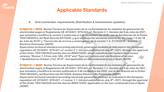- **6. Grid connection requirements (Distribution & transmission systems):**
- **- NTS631V2.1 SEPE: Norma Técnica de Supervisión de la conformidad de los módulos de generación de electricidad según el Reglamento UE 2016/631: NTS-631 v2: Revisión 2.1; Versión del 9 de Julio de 2021, que actualiza y modifica la versión 2 publicada el 3 de noviembre del 2020, con la Aprobación de la Orden TED/749/2020 y del Real Decreto 647/2020, y que sustituye las versiones anteriores "Revisión 1.0 del 18 de Julio de 2019" y "Corrección de errores y aclaraciones de la versión 1.0. 21/10/2019"; Sistema Eléctrico Peninsular (SEPE)**

**Supervision technical standard according electricity generation modules as indicated in the European regulation UE 2016/631: NTS-631 v2: review 2.1; Version published on July 9 th , 2021, through the approval of the Order TED/749/2020 and the decree RD647/2020, which substitute and replace the previous versions "Review 1.0 from July 18th, 2019" and "Typo corrections and clarifications of version 1.0published on October 21st, 2019", and applicable on the continental area of Spain (SEPE)**

**- NTS631V1.1 SENP: Norma Técnica de Supervisión de la conformidad de los módulos de generación de electricidad según el Reglamento UE 2016/631: NTS-631 v1: Revisión 1.1; Versión del 9 de Julio de 2021, que actualiza y modifica la versión publicada el 3 de noviembre del 2020, con la Aprobación de la Orden TED/749/2020 y del Real Decreto 647/2020; Sistema Eléctrico No Peninsular (SENP) Supervision technical standard according electricity generation modules as indicated in the European**  regulation UE 2016/631: NTS-631 v1 review 1.1; Version published on July 9<sup>th</sup>, 2021, through the approval **of the Order TED/749/2020 and the decree RD647/2020, applicable on the non-continental area of Spain (SENP)**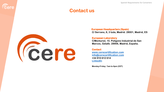Spanish Requirements for Converters

#### **Contact us**



**Eere** 

**European Headquarters (Spain) C/ Serrano, 8, 3 Izda, Madrid. 28001, Madrid, ES**

#### **European Laboratory**

**C/Monturiol, 15. Polígono Industrial de San Marcos, Getafe. 28906, Madrid, España.**

**Contact [www.cerecertification.com](http://www.cerecertification.com/) [info@cerecertification.com](mailto:info@cerecertification.com) +34 910 612 614 [LinkedIn](https://www.linkedin.com/company/cerecertification)**

**Monday-Friday: 7am to 6pm (CET)**